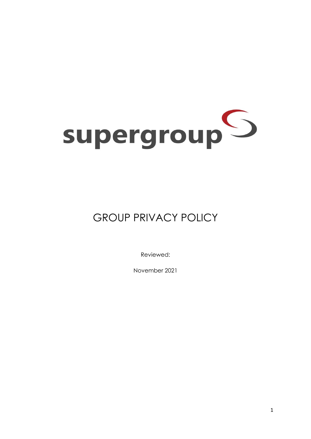# supergroup<sup>O</sup>

# GROUP PRIVACY POLICY

Reviewed:

November 2021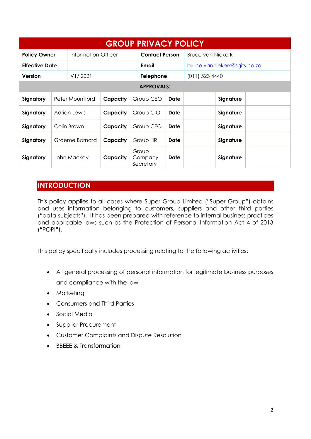| <b>GROUP PRIVACY POLICY</b> |                 |                     |          |                               |                       |      |                              |           |  |
|-----------------------------|-----------------|---------------------|----------|-------------------------------|-----------------------|------|------------------------------|-----------|--|
| <b>Policy Owner</b>         |                 | Information Officer |          |                               | <b>Contact Person</b> |      | <b>Bruce van Niekerk</b>     |           |  |
| <b>Effective Date</b>       |                 |                     |          |                               | Email                 |      | bruce.vanniekerk@sgits.co.za |           |  |
| Version                     |                 | V1/2021             |          |                               | <b>Telephone</b>      |      | (011) 523 4440               |           |  |
| <b>APPROVALS:</b>           |                 |                     |          |                               |                       |      |                              |           |  |
| Signatory                   | Peter Mountford |                     | Capacity | Group CEO                     |                       | Date |                              | Signature |  |
| Signatory                   | Adrian Lewis    |                     | Capacity | Group CIO                     |                       | Date |                              | Signature |  |
| Signatory                   | Colin Brown     |                     | Capacity | Group CFO                     |                       | Date |                              | Signature |  |
| Signatory                   | Graeme Barnard  |                     | Capacity | Group HR                      |                       | Date |                              | Signature |  |
| Signatory                   | John Mackay     |                     | Capacity | Group<br>Company<br>Secretary |                       | Date |                              | Signature |  |

# **INTRODUCTION**

This policy applies to all cases where Super Group Limited ("Super Group") obtains and uses information belonging to customers, suppliers and other third parties ("data subjects"). It has been prepared with reference to internal business practices and applicable laws such as the Protection of Personal Information Act 4 of 2013 (**"**POPI**"**).

This policy specifically includes processing relating to the following activities:

- All general processing of personal information for legitimate business purposes and compliance with the law
- Marketing
- Consumers and Third Parties
- **•** Social Media
- Supplier Procurement
- Customer Complaints and Dispute Resolution
- BBEEE & Transformation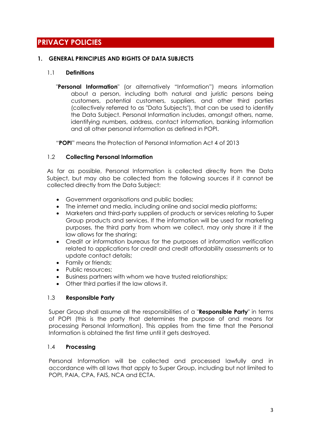# **PRIVACY POLICIES**

#### **1. GENERAL PRINCIPLES AND RIGHTS OF DATA SUBJECTS**

#### 1.1 **Definitions**

"**Personal Information**" (or alternatively "Information") means information about a person, including both natural and juristic persons being customers, potential customers, suppliers, and other third parties (collectively referred to as "Data Subjects"), that can be used to identify the Data Subject. Personal Information includes, amongst others, name, identifying numbers, address, contact information, banking information and all other personal information as defined in POPI.

"**POPI**" means the Protection of Personal Information Act 4 of 2013

#### 1.2 **Collecting Personal Information**

As far as possible, Personal Information is collected directly from the Data Subject, but may also be collected from the following sources if it cannot be collected directly from the Data Subject:

- Government organisations and public bodies;
- The internet and media, including online and social media platforms;
- Marketers and third-party suppliers of products or services relating to Super Group products and services. If the information will be used for marketing purposes, the third party from whom we collect, may only share it if the law allows for the sharing;
- Credit or information bureaus for the purposes of information verification related to applications for credit and credit affordability assessments or to update contact details;
- Family or friends;
- Public resources:
- Business partners with whom we have trusted relationships;
- Other third parties if the law allows it.

#### 1.3 **Responsible Party**

Super Group shall assume all the responsibilities of a "**Responsible Party**" in terms of POPI (this is the party that determines the purpose of and means for processing Personal Information). This applies from the time that the Personal Information is obtained the first time until it gets destroyed.

#### 1.4 **Processing**

Personal Information will be collected and processed lawfully and in accordance with all laws that apply to Super Group, including but not limited to POPI, PAIA, CPA, FAIS, NCA and ECTA.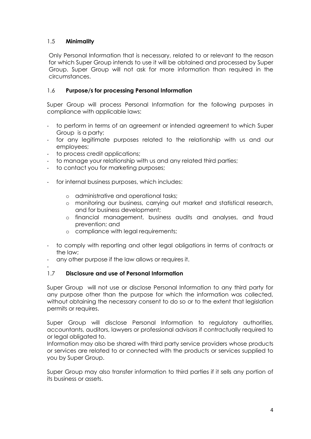#### 1.5 **Minimality**

Only Personal Information that is necessary, related to or relevant to the reason for which Super Group intends to use it will be obtained and processed by Super Group. Super Group will not ask for more information than required in the circumstances.

#### 1.6 **Purpose/s for processing Personal Information**

Super Group will process Personal Information for the following purposes in compliance with applicable laws:

- to perform in terms of an agreement or intended agreement to which Super Group is a party;
- for any legitimate purposes related to the relationship with us and our employees;
- to process credit applications;
- to manage your relationship with us and any related third parties;
- to contact you for marketing purposes;
- for internal business purposes, which includes:
	- o administrative and operational tasks;
	- o monitoring our business, carrying out market and statistical research, and for business development;
	- o financial management, business audits and analyses, and fraud prevention; and
	- o compliance with legal requirements;
- to comply with reporting and other legal obligations in terms of contracts or the law;
- any other purpose if the law allows or requires it.
- -

#### 1.7 **Disclosure and use of Personal Information**

Super Group will not use or disclose Personal Information to any third party for any purpose other than the purpose for which the information was collected, without obtaining the necessary consent to do so or to the extent that legislation permits or requires.

Super Group will disclose Personal Information to regulatory authorities, accountants, auditors, lawyers or professional advisors if contractually required to or legal obligated to.

Information may also be shared with third party service providers whose products or services are related to or connected with the products or services supplied to you by Super Group.

Super Group may also transfer information to third parties if it sells any portion of its business or assets.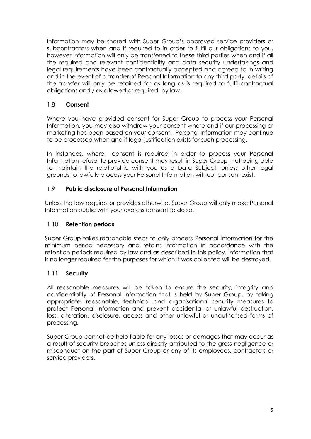Information may be shared with Super Group's approved service providers or subcontractors when and if required to in order to fulfil our obligations to you, however information will only be transferred to these third parties when and if all the required and relevant confidentiality and data security undertakings and legal requirements have been contractually accepted and agreed to in writing and in the event of a transfer of Personal Information to any third party, details of the transfer will only be retained for as long as is required to fulfil contractual obligations and / as allowed or required by law.

#### 1.8 **Consent**

Where you have provided consent for Super Group to process your Personal Information, you may also withdraw your consent where and if our processing or marketing has been based on your consent. Personal Information may continue to be processed when and if legal justification exists for such processing.

In instances, where consent is required in order to process your Personal Information refusal to provide consent may result in Super Group not being able to maintain the relationship with you as a Data Subject, unless other legal grounds to lawfully process your Personal Information without consent exist.

#### 1.9 **Public disclosure of Personal Information**

Unless the law requires or provides otherwise, Super Group will only make Personal Information public with your express consent to do so.

#### 1.10 **Retention periods**

Super Group takes reasonable steps to only process Personal Information for the minimum period necessary and retains information in accordance with the retention periods required by law and as described in this policy. Information that is no longer required for the purposes for which it was collected will be destroyed.

#### 1.11 **Security**

All reasonable measures will be taken to ensure the security, integrity and confidentiality of Personal Information that is held by Super Group, by taking appropriate, reasonable, technical and organisational security measures to protect Personal Information and prevent accidental or unlawful destruction, loss, alteration, disclosure, access and other unlawful or unauthorised forms of processing.

Super Group cannot be held liable for any losses or damages that may occur as a result of security breaches unless directly attributed to the gross negligence or misconduct on the part of Super Group or any of its employees, contractors or service providers.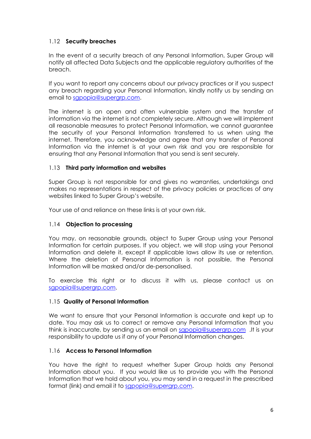#### 1.12 **Security breaches**

In the event of a security breach of any Personal Information, Super Group will notify all affected Data Subjects and the applicable regulatory authorities of the breach.

If you want to report any concerns about our privacy practices or if you suspect any breach regarding your Personal Information, kindly notify us by sending an email to [sgpopia@supergrp.com.](mailto:sgpopia@supergrp.com)

The internet is an open and often vulnerable system and the transfer of information via the internet is not completely secure. Although we will implement all reasonable measures to protect Personal Information, we cannot guarantee the security of your Personal Information transferred to us when using the internet. Therefore, you acknowledge and agree that any transfer of Personal Information via the internet is at your own risk and you are responsible for ensuring that any Personal Information that you send is sent securely.

#### 1.13 **Third party information and websites**

Super Group is not responsible for and gives no warranties, undertakings and makes no representations in respect of the privacy policies or practices of any websites linked to Super Group's website.

Your use of and reliance on these links is at your own risk.

#### 1.14 **Objection to processing**

You may, on reasonable grounds, object to Super Group using your Personal Information for certain purposes. If you object, we will stop using your Personal Information and delete it, except if applicable laws allow its use or retention. Where the deletion of Personal Information is not possible, the Personal Information will be masked and/or de-personalised.

To exercise this right or to discuss it with us, please contact us on [sgpopia@supergrp.com.](mailto:sgpopia@supergrp.com)

#### 1.15 **Quality of Personal Information**

We want to ensure that your Personal Information is accurate and kept up to date. You may ask us to correct or remove any Personal Information that you think is inaccurate, by sending us an email on [sgpopia@supergrp.com](mailto:sgpopia@supergrp.com) .It is your responsibility to update us if any of your Personal Information changes.

#### 1.16 **Access to Personal Information**

You have the right to request whether Super Group holds any Personal Information about you. If you would like us to provide you with the Personal Information that we hold about you, you may send in a request in the prescribed format (link) and email it to [sgpopia@supergrp.com.](mailto:sgpopia@supergrp.com)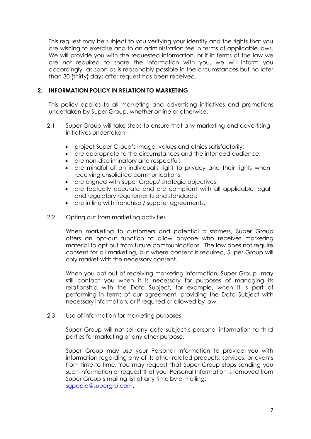This request may be subject to you verifying your identity and the rights that you are wishing to exercise and to an administration fee in terms of applicable laws. We will provide you with the requested information, or if in terms of the law we are not required to share the information with you, we will inform you accordingly as soon as is reasonably possible in the circumstances but no later than 30 (thirty) days after request has been received.

#### **2. INFORMATION POLICY IN RELATION TO MARKETING**

This policy applies to all marketing and advertising initiatives and promotions undertaken by Super Group, whether online or otherwise.

- 2.1 Super Group will take steps to ensure that any marketing and advertising initiatives undertaken –
	- project Super Group's image, values and ethics satisfactorily;
	- are appropriate to the circumstances and the intended audience;
	- are non-discriminatory and respectful;
	- are mindful of an individual's right to privacy and their rights when receiving unsolicited communications;
	- are aligned with Super Groups' strategic objectives;
	- are factually accurate and are compliant with all applicable legal and regulatory requirements and standards;
	- are in line with franchise / supplier agreements.
- 2.2 Opting out from marketing activities

When marketing to customers and potential customers, Super Group offers an opt-out function to allow anyone who receives marketing material to opt out from future communications. The law does not require consent for all marketing, but where consent is required, Super Group will only market with the necessary consent.

When you opt-out of receiving marketing information, Super Group may still contact you when it is necessary for purposes of managing its relationship with the Data Subject, for example, when it is part of performing in terms of our agreement, providing the Data Subject with necessary information, or if required or allowed by law.

2.3 Use of information for marketing purposes

Super Group will not sell any data subject's personal information to third parties for marketing or any other purpose.

Super Group may use your Personal Information to provide you with information regarding any of its other related products, services, or events from time-to-time. You may request that Super Group stops sending you such information or request that your Personal Information is removed from Super Group's mailing list at any time by e-mailing: [sgpopia@supergrp.com.](mailto:sgpopia@supergrp.com)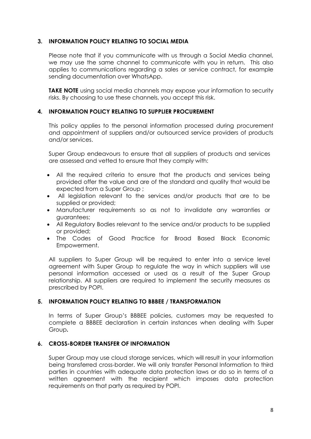#### **3. INFORMATION POLICY RELATING TO SOCIAL MEDIA**

Please note that if you communicate with us through a Social Media channel, we may use the same channel to communicate with you in return. This also applies to communications regarding a sales or service contract, for example sending documentation over WhatsApp.

**TAKE NOTE** using social media channels may expose your information to security risks. By choosing to use these channels, you accept this risk.

#### **4. INFORMATION POLICY RELATING TO SUPPLIER PROCUREMENT**

This policy applies to the personal information processed during procurement and appointment of suppliers and/or outsourced service providers of products and/or services.

Super Group endeavours to ensure that all suppliers of products and services are assessed and vetted to ensure that they comply with:

- All the required criteria to ensure that the products and services being provided offer the value and are of the standard and quality that would be expected from a Super Group ;
- All legislation relevant to the services and/or products that are to be supplied or provided;
- Manufacturer requirements so as not to invalidate any warranties or guarantees;
- All Regulatory Bodies relevant to the service and/or products to be supplied or provided;
- The Codes of Good Practice for Broad Based Black Economic Empowerment.

All suppliers to Super Group will be required to enter into a service level agreement with Super Group to regulate the way in which suppliers will use personal information accessed or used as a result of the Super Group relationship. All suppliers are required to implement the security measures as prescribed by POPI.

#### **5. INFORMATION POLICY RELATING TO BBBEE / TRANSFORMATION**

In terms of Super Group's BBBEE policies, customers may be requested to complete a BBBEE declaration in certain instances when dealing with Super Group**.** 

#### **6. CROSS-BORDER TRANSFER OF INFORMATION**

Super Group may use cloud storage services, which will result in your information being transferred cross-border. We will only transfer Personal Information to third parties in countries with adequate data protection laws or do so in terms of a written agreement with the recipient which imposes data protection requirements on that party as required by POPI.